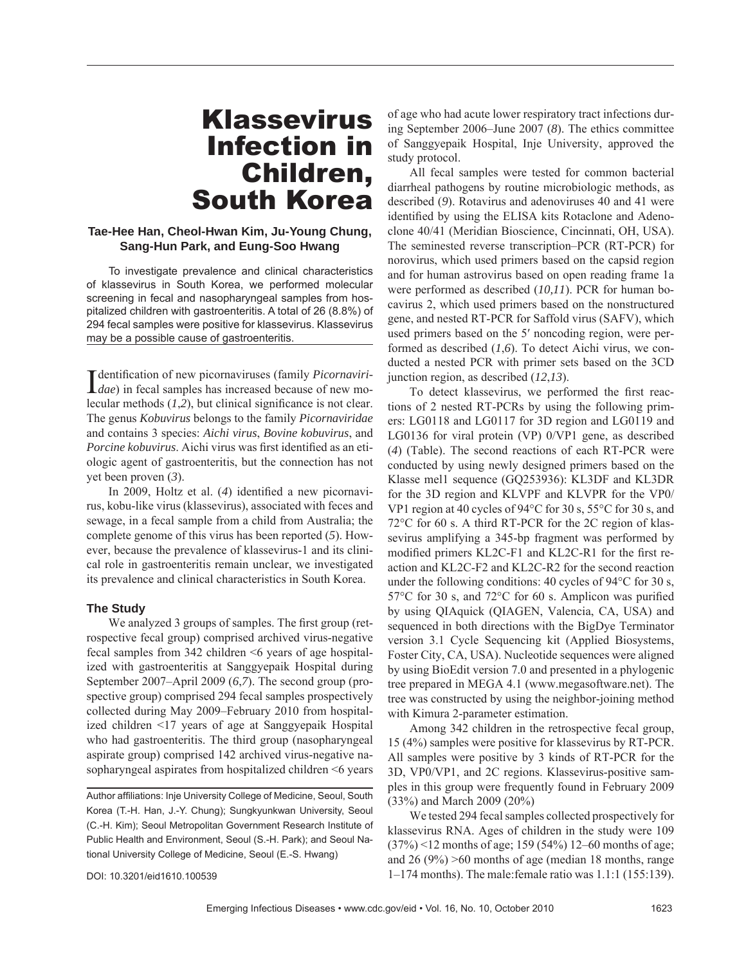# Klassevirus Infection in Children, South Korea

## **Tae-Hee Han, Cheol-Hwan Kim, Ju-Young Chung, Sang-Hun Park, and Eung-Soo Hwang**

To investigate prevalence and clinical characteristics of klassevirus in South Korea, we performed molecular screening in fecal and nasopharyngeal samples from hospitalized children with gastroenteritis. A total of 26 (8.8%) of 294 fecal samples were positive for klassevirus. Klassevirus may be a possible cause of gastroenteritis.

**I** dentification of new picornaviruses (family *Picornaviri-dae*) in fecal samples has increased because of new mo-**T** dentification of new picornaviruses (family *Picornaviri*lecular methods  $(1,2)$ , but clinical significance is not clear. The genus *Kobuvirus* belongs to the family *Picornaviridae* and contains 3 species: *Aichi virus*, *Bovine kobuvirus*, and Porcine kobuvirus. Aichi virus was first identified as an etiologic agent of gastroenteritis, but the connection has not yet been proven (*3*).

In 2009, Holtz et al. (4) identified a new picornavirus, kobu-like virus (klassevirus), associated with feces and sewage, in a fecal sample from a child from Australia; the complete genome of this virus has been reported (*5*). However, because the prevalence of klassevirus-1 and its clinical role in gastroenteritis remain unclear, we investigated its prevalence and clinical characteristics in South Korea.

#### **The Study**

We analyzed 3 groups of samples. The first group (retrospective fecal group) comprised archived virus-negative fecal samples from 342 children <6 years of age hospitalized with gastroenteritis at Sanggyepaik Hospital during September 2007–April 2009 (*6*,*7*). The second group (prospective group) comprised 294 fecal samples prospectively collected during May 2009–February 2010 from hospitalized children <17 years of age at Sanggyepaik Hospital who had gastroenteritis. The third group (nasopharyngeal aspirate group) comprised 142 archived virus-negative nasopharyngeal aspirates from hospitalized children <6 years

of age who had acute lower respiratory tract infections during September 2006–June 2007 (*8*). The ethics committee of Sanggyepaik Hospital, Inje University, approved the study protocol.

All fecal samples were tested for common bacterial diarrheal pathogens by routine microbiologic methods, as described (*9*). Rotavirus and adenoviruses 40 and 41 were identified by using the ELISA kits Rotaclone and Adenoclone 40/41 (Meridian Bioscience, Cincinnati, OH, USA). The seminested reverse transcription–PCR (RT-PCR) for norovirus, which used primers based on the capsid region and for human astrovirus based on open reading frame 1a were performed as described (*10,11*). PCR for human bocavirus 2, which used primers based on the nonstructured gene, and nested RT-PCR for Saffold virus (SAFV), which used primers based on the 5′ noncoding region, were performed as described (*1*,*6*). To detect Aichi virus, we conducted a nested PCR with primer sets based on the 3CD junction region, as described (*12*,*13*).

To detect klassevirus, we performed the first reactions of 2 nested RT-PCRs by using the following primers: LG0118 and LG0117 for 3D region and LG0119 and LG0136 for viral protein (VP) 0/VP1 gene, as described (*4*) (Table). The second reactions of each RT-PCR were conducted by using newly designed primers based on the Klasse mel1 sequence (GQ253936): KL3DF and KL3DR for the 3D region and KLVPF and KLVPR for the VP0/ VP1 region at 40 cycles of 94°C for 30 s, 55°C for 30 s, and 72°C for 60 s. A third RT-PCR for the 2C region of klassevirus amplifying a 345-bp fragment was performed by modified primers KL2C-F1 and KL2C-R1 for the first reaction and KL2C-F2 and KL2C-R2 for the second reaction under the following conditions: 40 cycles of 94°C for 30 s, 57 $\rm{^{\circ}C}$  for 30 s, and 72 $\rm{^{\circ}C}$  for 60 s. Amplicon was purified by using QIAquick (QIAGEN, Valencia, CA, USA) and sequenced in both directions with the BigDye Terminator version 3.1 Cycle Sequencing kit (Applied Biosystems, Foster City, CA, USA). Nucleotide sequences were aligned by using BioEdit version 7.0 and presented in a phylogenic tree prepared in MEGA 4.1 (www.megasoftware.net). The tree was constructed by using the neighbor-joining method with Kimura 2-parameter estimation.

Among 342 children in the retrospective fecal group, 15 (4%) samples were positive for klassevirus by RT-PCR. All samples were positive by 3 kinds of RT-PCR for the 3D, VP0/VP1, and 2C regions. Klassevirus-positive samples in this group were frequently found in February 2009 (33%) and March 2009 (20%)

We tested 294 fecal samples collected prospectively for klassevirus RNA. Ages of children in the study were 109 (37%) <12 months of age; 159 (54%) 12–60 months of age; and  $26 (9\%) >60$  months of age (median 18 months, range 1–174 months). The male:female ratio was 1.1:1 (155:139).

Author affiliations: Inje University College of Medicine, Seoul, South Korea (T.-H. Han, J.-Y. Chung); Sungkyunkwan University, Seoul (C.-H. Kim); Seoul Metropolitan Government Research Institute of Public Health and Environment, Seoul (S.-H. Park); and Seoul National University College of Medicine, Seoul (E.-S. Hwang)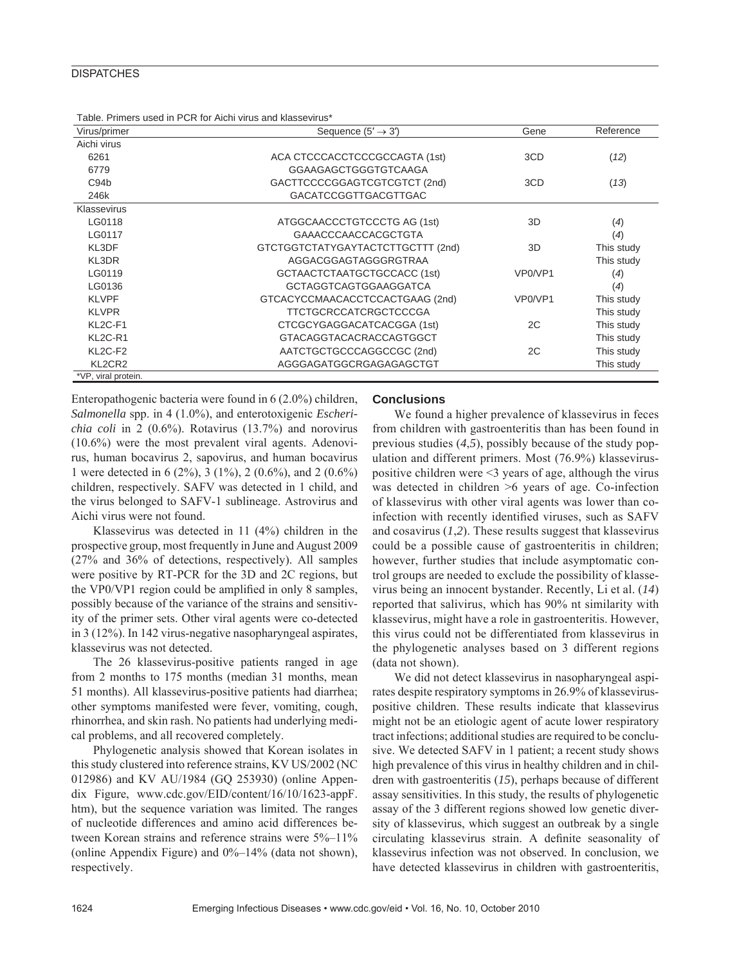### **DISPATCHES**

| Virus/primer                     | Sequence $(5' \rightarrow 3')$    | Gene    | Reference         |
|----------------------------------|-----------------------------------|---------|-------------------|
| Aichi virus                      |                                   |         |                   |
| 6261                             | ACA CTCCCACCTCCCGCCAGTA (1st)     | 3CD     | (12)              |
| 6779                             | GGAAGAGCTGGGTGTCAAGA              |         |                   |
| C <sub>94</sub> b                | GACTTCCCCGGAGTCGTCGTCT (2nd)      | 3CD     | (13)              |
| 246k                             | <b>GACATCCGGTTGACGTTGAC</b>       |         |                   |
| Klassevirus                      |                                   |         |                   |
| LG0118                           | ATGGCAACCCTGTCCCTG AG (1st)       | 3D      | $\left( 4\right)$ |
| LG0117                           | <b>GAAACCCAACCACGCTGTA</b>        |         | (4)               |
| KL3DF                            | GTCTGGTCTATYGAYTACTCTTGCTTT (2nd) | 3D      | This study        |
| KL3DR                            | AGGACGGAGTAGGGRGTRAA              |         | This study        |
| LG0119                           | GCTAACTCTAATGCTGCCACC (1st)       | VP0/VP1 | $\left( 4\right)$ |
| LG0136                           | GCTAGGTCAGTGGAAGGATCA             |         | (4)               |
| <b>KLVPF</b>                     | GTCACYCCMAACACCTCCACTGAAG (2nd)   | VP0/VP1 | This study        |
| <b>KLVPR</b>                     | TTCTGCRCCATCRGCTCCCGA             |         | This study        |
| KL2C-F1                          | CTCGCYGAGGACATCACGGA (1st)        | 2C      | This study        |
| KL <sub>2</sub> C-R <sub>1</sub> | GTACAGGTACACRACCAGTGGCT           |         | This study        |
| KL <sub>2</sub> C-F <sub>2</sub> | AATCTGCTGCCCAGGCCGC (2nd)         | 2C      | This study        |
| KL2CR2                           | AGGGAGATGGCRGAGAGAGCTGT           |         | This study        |
| *VP, viral protein.              |                                   |         |                   |

Table. Primers used in PCR for Aichi virus and klassevirus\*

Enteropathogenic bacteria were found in 6 (2.0%) children, *Salmonella* spp. in 4 (1.0%), and enterotoxigenic *Escherichia coli* in 2 (0.6%). Rotavirus (13.7%) and norovirus (10.6%) were the most prevalent viral agents. Adenovirus, human bocavirus 2, sapovirus, and human bocavirus 1 were detected in 6 (2%), 3 (1%), 2 (0.6%), and 2 (0.6%) children, respectively. SAFV was detected in 1 child, and the virus belonged to SAFV-1 sublineage. Astrovirus and Aichi virus were not found.

Klassevirus was detected in 11 (4%) children in the prospective group, most frequently in June and August 2009 (27% and 36% of detections, respectively). All samples were positive by RT-PCR for the 3D and 2C regions, but the VP0/VP1 region could be amplified in only 8 samples, possibly because of the variance of the strains and sensitivity of the primer sets. Other viral agents were co-detected in 3 (12%). In 142 virus-negative nasopharyngeal aspirates, klassevirus was not detected.

The 26 klassevirus-positive patients ranged in age from 2 months to 175 months (median 31 months, mean 51 months). All klassevirus-positive patients had diarrhea; other symptoms manifested were fever, vomiting, cough, rhinorrhea, and skin rash. No patients had underlying medical problems, and all recovered completely.

Phylogenetic analysis showed that Korean isolates in this study clustered into reference strains, KV US/2002 (NC 012986) and KV AU/1984 (GQ 253930) (online Appendix Figure, www.cdc.gov/EID/content/16/10/1623-appF. htm), but the sequence variation was limited. The ranges of nucleotide differences and amino acid differences between Korean strains and reference strains were  $5\%-11\%$ (online Appendix Figure) and  $0\%$ –14% (data not shown), respectively.

#### **Conclusions**

We found a higher prevalence of klassevirus in feces from children with gastroenteritis than has been found in previous studies (*4*,*5*), possibly because of the study population and different primers. Most (76.9%) klasseviruspositive children were <3 years of age, although the virus was detected in children >6 years of age. Co-infection of klassevirus with other viral agents was lower than coinfection with recently identified viruses, such as SAFV and cosavirus (*1*,*2*). These results suggest that klassevirus could be a possible cause of gastroenteritis in children; however, further studies that include asymptomatic control groups are needed to exclude the possibility of klassevirus being an innocent bystander. Recently, Li et al. (*14*) reported that salivirus, which has 90% nt similarity with klassevirus, might have a role in gastroenteritis. However, this virus could not be differentiated from klassevirus in the phylogenetic analyses based on 3 different regions (data not shown).

We did not detect klassevirus in nasopharyngeal aspirates despite respiratory symptoms in 26.9% of klasseviruspositive children. These results indicate that klassevirus might not be an etiologic agent of acute lower respiratory tract infections; additional studies are required to be conclusive. We detected SAFV in 1 patient; a recent study shows high prevalence of this virus in healthy children and in children with gastroenteritis (*15*), perhaps because of different assay sensitivities. In this study, the results of phylogenetic assay of the 3 different regions showed low genetic diversity of klassevirus, which suggest an outbreak by a single circulating klassevirus strain. A definite seasonality of klassevirus infection was not observed. In conclusion, we have detected klassevirus in children with gastroenteritis,